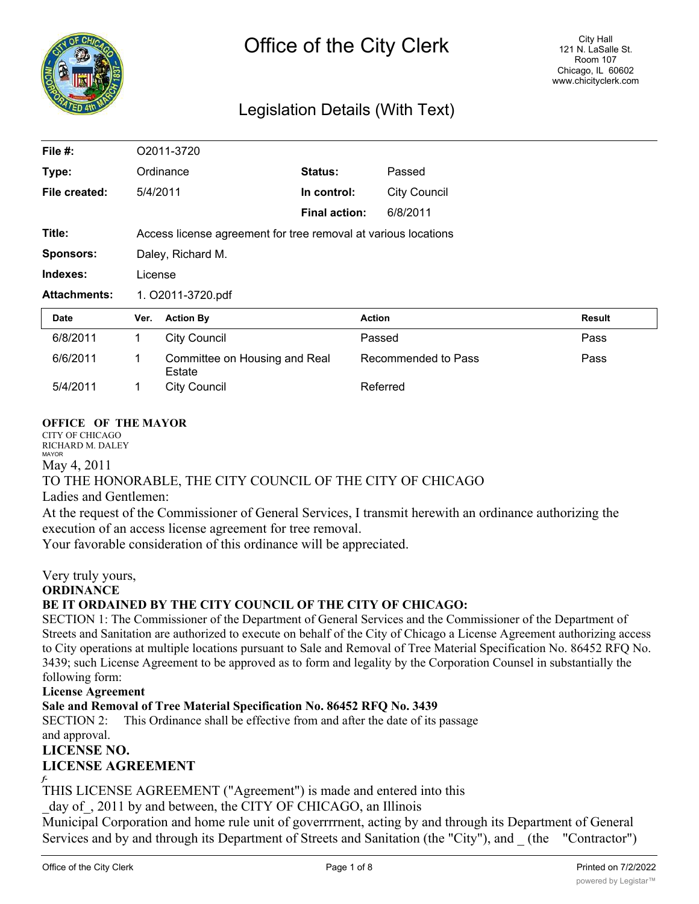

# Legislation Details (With Text)

| File #:             | O2011-3720                                                     |                                         |                      |                     |        |
|---------------------|----------------------------------------------------------------|-----------------------------------------|----------------------|---------------------|--------|
| Type:               | Ordinance                                                      |                                         | Status:              | Passed              |        |
| File created:       | 5/4/2011                                                       |                                         | In control:          | <b>City Council</b> |        |
|                     |                                                                |                                         | <b>Final action:</b> | 6/8/2011            |        |
| Title:              | Access license agreement for tree removal at various locations |                                         |                      |                     |        |
| <b>Sponsors:</b>    | Daley, Richard M.                                              |                                         |                      |                     |        |
| Indexes:            | License                                                        |                                         |                      |                     |        |
| <b>Attachments:</b> | 1. O2011-3720.pdf                                              |                                         |                      |                     |        |
| Date                | Ver.                                                           | <b>Action By</b>                        |                      | <b>Action</b>       | Result |
| 6/8/2011            | 1                                                              | <b>City Council</b>                     |                      | Passed              | Pass   |
| 6/6/2011            | 1                                                              | Committee on Housing and Real<br>Estate |                      | Recommended to Pass | Pass   |
| 5/4/2011            | 1                                                              | <b>City Council</b>                     |                      | Referred            |        |

#### **OFFICE OF THE MAYOR**

CITY OF CHICAGO RICHARD M. DALEY MAYOR

May 4, 2011

### TO THE HONORABLE, THE CITY COUNCIL OF THE CITY OF CHICAGO

Ladies and Gentlemen:

At the request of the Commissioner of General Services, I transmit herewith an ordinance authorizing the execution of an access license agreement for tree removal.

Your favorable consideration of this ordinance will be appreciated.

Very truly yours,

**ORDINANCE**

#### **BE IT ORDAINED BY THE CITY COUNCIL OF THE CITY OF CHICAGO:**

SECTION 1: The Commissioner of the Department of General Services and the Commissioner of the Department of Streets and Sanitation are authorized to execute on behalf of the City of Chicago a License Agreement authorizing access to City operations at multiple locations pursuant to Sale and Removal of Tree Material Specification No. 86452 RFQ No. 3439; such License Agreement to be approved as to form and legality by the Corporation Counsel in substantially the following form:

**License Agreement**

**Sale and Removal of Tree Material Specification No. 86452 RFQ No. 3439**

SECTION 2: This Ordinance shall be effective from and after the date of its passage and approval.

**LICENSE NO. LICENSE AGREEMENT**

THIS LICENSE AGREEMENT ("Agreement") is made and entered into this

day of, 2011 by and between, the CITY OF CHICAGO, an Illinois

Municipal Corporation and home rule unit of goverrrrnent, acting by and through its Department of General Services and by and through its Department of Streets and Sanitation (the "City"), and \_ (the "Contractor")

*f-*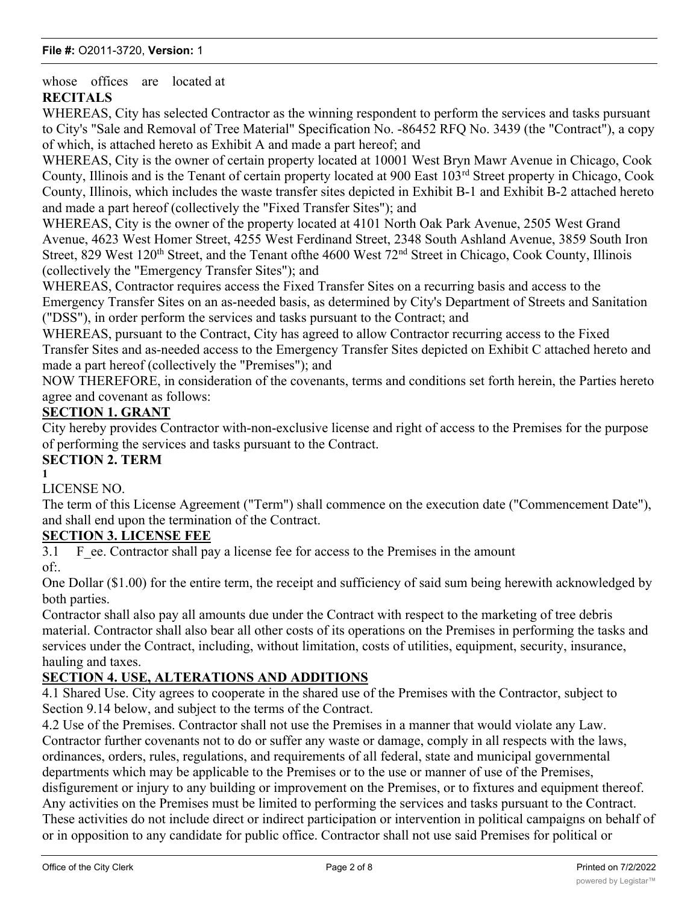whose offices are located at **RECITALS**

WHEREAS, City has selected Contractor as the winning respondent to perform the services and tasks pursuant to City's "Sale and Removal of Tree Material" Specification No. -86452 RFQ No. 3439 (the "Contract"), a copy of which, is attached hereto as Exhibit A and made a part hereof; and

WHEREAS, City is the owner of certain property located at 10001 West Bryn Mawr Avenue in Chicago, Cook County, Illinois and is the Tenant of certain property located at 900 East 103rd Street property in Chicago, Cook County, Illinois, which includes the waste transfer sites depicted in Exhibit B-1 and Exhibit B-2 attached hereto and made a part hereof (collectively the "Fixed Transfer Sites"); and

WHEREAS, City is the owner of the property located at 4101 North Oak Park Avenue, 2505 West Grand Avenue, 4623 West Homer Street, 4255 West Ferdinand Street, 2348 South Ashland Avenue, 3859 South Iron Street, 829 West 120<sup>th</sup> Street, and the Tenant of the 4600 West 72<sup>nd</sup> Street in Chicago, Cook County, Illinois (collectively the "Emergency Transfer Sites"); and

WHEREAS, Contractor requires access the Fixed Transfer Sites on a recurring basis and access to the Emergency Transfer Sites on an as-needed basis, as determined by City's Department of Streets and Sanitation ("DSS"), in order perform the services and tasks pursuant to the Contract; and

WHEREAS, pursuant to the Contract, City has agreed to allow Contractor recurring access to the Fixed Transfer Sites and as-needed access to the Emergency Transfer Sites depicted on Exhibit C attached hereto and made a part hereof (collectively the "Premises"); and

NOW THEREFORE, in consideration of the covenants, terms and conditions set forth herein, the Parties hereto agree and covenant as follows:

# **SECTION 1. GRANT**

City hereby provides Contractor with-non-exclusive license and right of access to the Premises for the purpose of performing the services and tasks pursuant to the Contract.

# **SECTION 2. TERM**

**1**

### LICENSE NO.

The term of this License Agreement ("Term") shall commence on the execution date ("Commencement Date"), and shall end upon the termination of the Contract.

### **SECTION 3. LICENSE FEE**

3.1 F ee. Contractor shall pay a license fee for access to the Premises in the amount

of:.

One Dollar (\$1.00) for the entire term, the receipt and sufficiency of said sum being herewith acknowledged by both parties.

Contractor shall also pay all amounts due under the Contract with respect to the marketing of tree debris material. Contractor shall also bear all other costs of its operations on the Premises in performing the tasks and services under the Contract, including, without limitation, costs of utilities, equipment, security, insurance, hauling and taxes.

# **SECTION 4. USE, ALTERATIONS AND ADDITIONS**

4.1 Shared Use. City agrees to cooperate in the shared use of the Premises with the Contractor, subject to Section 9.14 below, and subject to the terms of the Contract.

4.2 Use of the Premises. Contractor shall not use the Premises in a manner that would violate any Law. Contractor further covenants not to do or suffer any waste or damage, comply in all respects with the laws, ordinances, orders, rules, regulations, and requirements of all federal, state and municipal governmental departments which may be applicable to the Premises or to the use or manner of use of the Premises, disfigurement or injury to any building or improvement on the Premises, or to fixtures and equipment thereof. Any activities on the Premises must be limited to performing the services and tasks pursuant to the Contract. These activities do not include direct or indirect participation or intervention in political campaigns on behalf of or in opposition to any candidate for public office. Contractor shall not use said Premises for political or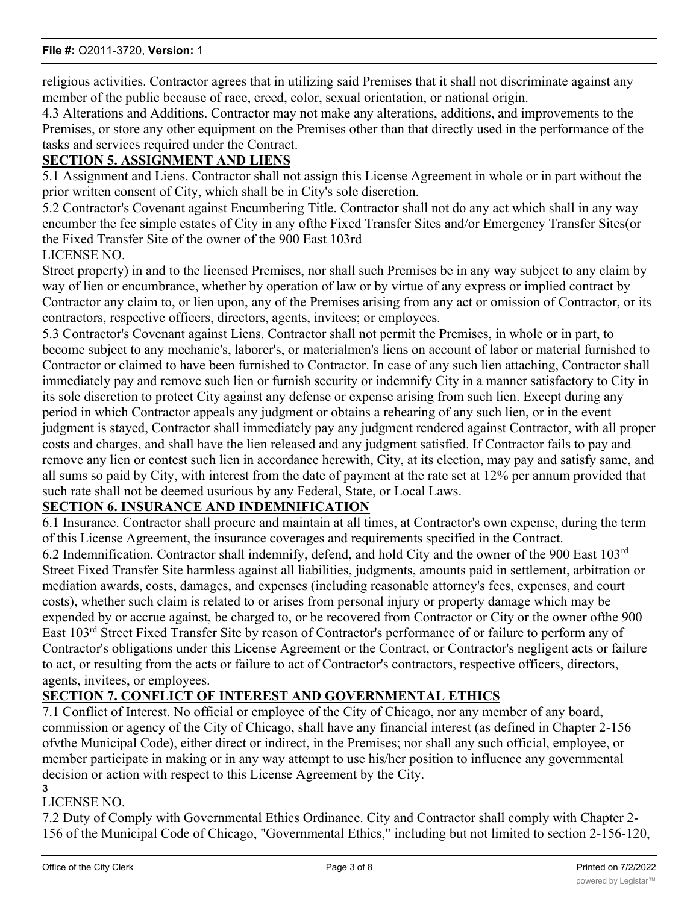religious activities. Contractor agrees that in utilizing said Premises that it shall not discriminate against any member of the public because of race, creed, color, sexual orientation, or national origin.

4.3 Alterations and Additions. Contractor may not make any alterations, additions, and improvements to the Premises, or store any other equipment on the Premises other than that directly used in the performance of the tasks and services required under the Contract.

### **SECTION 5. ASSIGNMENT AND LIENS**

5.1 Assignment and Liens. Contractor shall not assign this License Agreement in whole or in part without the prior written consent of City, which shall be in City's sole discretion.

5.2 Contractor's Covenant against Encumbering Title. Contractor shall not do any act which shall in any way encumber the fee simple estates of City in any ofthe Fixed Transfer Sites and/or Emergency Transfer Sites(or the Fixed Transfer Site of the owner of the 900 East 103rd

### LICENSE NO.

Street property) in and to the licensed Premises, nor shall such Premises be in any way subject to any claim by way of lien or encumbrance, whether by operation of law or by virtue of any express or implied contract by Contractor any claim to, or lien upon, any of the Premises arising from any act or omission of Contractor, or its contractors, respective officers, directors, agents, invitees; or employees.

5.3 Contractor's Covenant against Liens. Contractor shall not permit the Premises, in whole or in part, to become subject to any mechanic's, laborer's, or materialmen's liens on account of labor or material furnished to Contractor or claimed to have been furnished to Contractor. In case of any such lien attaching, Contractor shall immediately pay and remove such lien or furnish security or indemnify City in a manner satisfactory to City in its sole discretion to protect City against any defense or expense arising from such lien. Except during any period in which Contractor appeals any judgment or obtains a rehearing of any such lien, or in the event judgment is stayed, Contractor shall immediately pay any judgment rendered against Contractor, with all proper costs and charges, and shall have the lien released and any judgment satisfied. If Contractor fails to pay and remove any lien or contest such lien in accordance herewith, City, at its election, may pay and satisfy same, and all sums so paid by City, with interest from the date of payment at the rate set at 12% per annum provided that such rate shall not be deemed usurious by any Federal, State, or Local Laws.

### **SECTION 6. INSURANCE AND INDEMNIFICATION**

6.1 Insurance. Contractor shall procure and maintain at all times, at Contractor's own expense, during the term of this License Agreement, the insurance coverages and requirements specified in the Contract.

6.2 Indemnification. Contractor shall indemnify, defend, and hold City and the owner of the 900 East 103rd Street Fixed Transfer Site harmless against all liabilities, judgments, amounts paid in settlement, arbitration or mediation awards, costs, damages, and expenses (including reasonable attorney's fees, expenses, and court costs), whether such claim is related to or arises from personal injury or property damage which may be expended by or accrue against, be charged to, or be recovered from Contractor or City or the owner ofthe 900 East 103rd Street Fixed Transfer Site by reason of Contractor's performance of or failure to perform any of Contractor's obligations under this License Agreement or the Contract, or Contractor's negligent acts or failure to act, or resulting from the acts or failure to act of Contractor's contractors, respective officers, directors, agents, invitees, or employees.

### **SECTION 7. CONFLICT OF INTEREST AND GOVERNMENTAL ETHICS**

7.1 Conflict of Interest. No official or employee of the City of Chicago, nor any member of any board, commission or agency of the City of Chicago, shall have any financial interest (as defined in Chapter 2-156 ofvthe Municipal Code), either direct or indirect, in the Premises; nor shall any such official, employee, or member participate in making or in any way attempt to use his/her position to influence any governmental decision or action with respect to this License Agreement by the City. **3**

# LICENSE NO.

7.2 Duty of Comply with Governmental Ethics Ordinance. City and Contractor shall comply with Chapter 2- 156 of the Municipal Code of Chicago, "Governmental Ethics," including but not limited to section 2-156-120,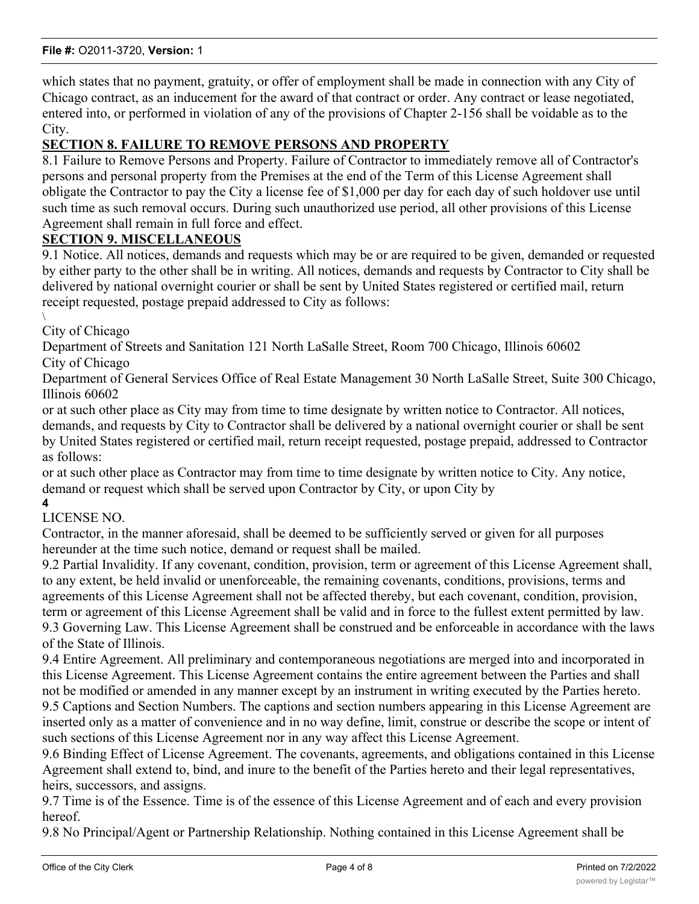which states that no payment, gratuity, or offer of employment shall be made in connection with any City of Chicago contract, as an inducement for the award of that contract or order. Any contract or lease negotiated, entered into, or performed in violation of any of the provisions of Chapter 2-156 shall be voidable as to the City.

# **SECTION 8. FAILURE TO REMOVE PERSONS AND PROPERTY**

8.1 Failure to Remove Persons and Property. Failure of Contractor to immediately remove all of Contractor's persons and personal property from the Premises at the end of the Term of this License Agreement shall obligate the Contractor to pay the City a license fee of \$1,000 per day for each day of such holdover use until such time as such removal occurs. During such unauthorized use period, all other provisions of this License Agreement shall remain in full force and effect.

### **SECTION 9. MISCELLANEOUS**

9.1 Notice. All notices, demands and requests which may be or are required to be given, demanded or requested by either party to the other shall be in writing. All notices, demands and requests by Contractor to City shall be delivered by national overnight courier or shall be sent by United States registered or certified mail, return receipt requested, postage prepaid addressed to City as follows:

\ City of Chicago

Department of Streets and Sanitation 121 North LaSalle Street, Room 700 Chicago, Illinois 60602 City of Chicago

Department of General Services Office of Real Estate Management 30 North LaSalle Street, Suite 300 Chicago, Illinois 60602

or at such other place as City may from time to time designate by written notice to Contractor. All notices, demands, and requests by City to Contractor shall be delivered by a national overnight courier or shall be sent by United States registered or certified mail, return receipt requested, postage prepaid, addressed to Contractor as follows:

or at such other place as Contractor may from time to time designate by written notice to City. Any notice, demand or request which shall be served upon Contractor by City, or upon City by

**4**

LICENSE NO.

Contractor, in the manner aforesaid, shall be deemed to be sufficiently served or given for all purposes hereunder at the time such notice, demand or request shall be mailed.

9.2 Partial Invalidity. If any covenant, condition, provision, term or agreement of this License Agreement shall, to any extent, be held invalid or unenforceable, the remaining covenants, conditions, provisions, terms and agreements of this License Agreement shall not be affected thereby, but each covenant, condition, provision, term or agreement of this License Agreement shall be valid and in force to the fullest extent permitted by law. 9.3 Governing Law. This License Agreement shall be construed and be enforceable in accordance with the laws of the State of Illinois.

9.4 Entire Agreement. All preliminary and contemporaneous negotiations are merged into and incorporated in this License Agreement. This License Agreement contains the entire agreement between the Parties and shall not be modified or amended in any manner except by an instrument in writing executed by the Parties hereto.

9.5 Captions and Section Numbers. The captions and section numbers appearing in this License Agreement are inserted only as a matter of convenience and in no way define, limit, construe or describe the scope or intent of such sections of this License Agreement nor in any way affect this License Agreement.

9.6 Binding Effect of License Agreement. The covenants, agreements, and obligations contained in this License Agreement shall extend to, bind, and inure to the benefit of the Parties hereto and their legal representatives, heirs, successors, and assigns.

9.7 Time is of the Essence. Time is of the essence of this License Agreement and of each and every provision hereof.

9.8 No Principal/Agent or Partnership Relationship. Nothing contained in this License Agreement shall be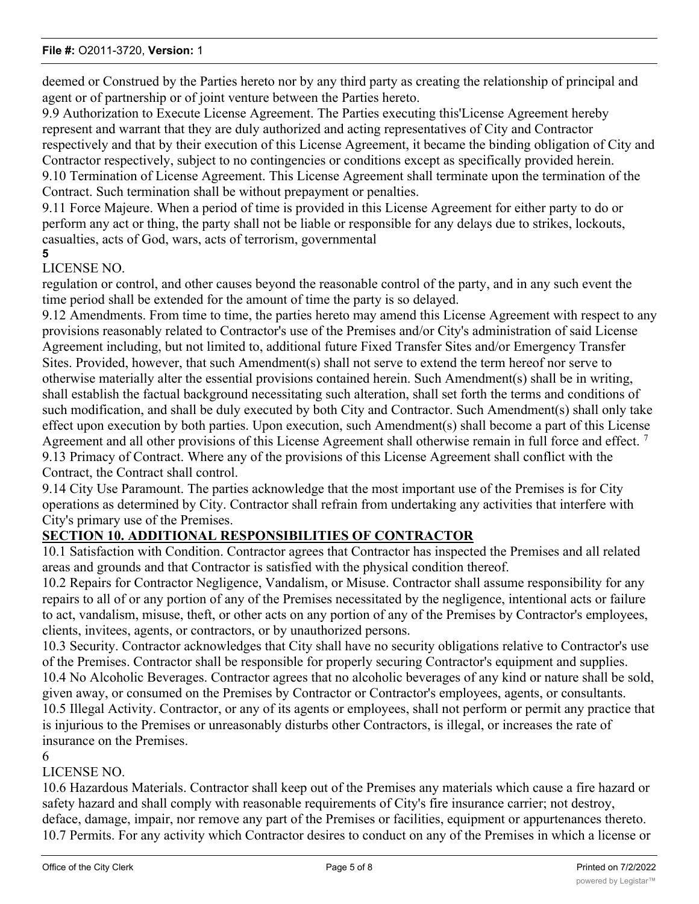#### **File #:** O2011-3720, **Version:** 1

deemed or Construed by the Parties hereto nor by any third party as creating the relationship of principal and agent or of partnership or of joint venture between the Parties hereto.

9.9 Authorization to Execute License Agreement. The Parties executing this'License Agreement hereby represent and warrant that they are duly authorized and acting representatives of City and Contractor respectively and that by their execution of this License Agreement, it became the binding obligation of City and Contractor respectively, subject to no contingencies or conditions except as specifically provided herein. 9.10 Termination of License Agreement. This License Agreement shall terminate upon the termination of the Contract. Such termination shall be without prepayment or penalties.

9.11 Force Majeure. When a period of time is provided in this License Agreement for either party to do or perform any act or thing, the party shall not be liable or responsible for any delays due to strikes, lockouts, casualties, acts of God, wars, acts of terrorism, governmental

#### **5**

### LICENSE NO.

regulation or control, and other causes beyond the reasonable control of the party, and in any such event the time period shall be extended for the amount of time the party is so delayed.

9.12 Amendments. From time to time, the parties hereto may amend this License Agreement with respect to any provisions reasonably related to Contractor's use of the Premises and/or City's administration of said License Agreement including, but not limited to, additional future Fixed Transfer Sites and/or Emergency Transfer Sites. Provided, however, that such Amendment(s) shall not serve to extend the term hereof nor serve to otherwise materially alter the essential provisions contained herein. Such Amendment(s) shall be in writing, shall establish the factual background necessitating such alteration, shall set forth the terms and conditions of such modification, and shall be duly executed by both City and Contractor. Such Amendment(s) shall only take effect upon execution by both parties. Upon execution, such Amendment(s) shall become a part of this License Agreement and all other provisions of this License Agreement shall otherwise remain in full force and effect.<sup>7</sup> 9.13 Primacy of Contract. Where any of the provisions of this License Agreement shall conflict with the Contract, the Contract shall control.

9.14 City Use Paramount. The parties acknowledge that the most important use of the Premises is for City operations as determined by City. Contractor shall refrain from undertaking any activities that interfere with City's primary use of the Premises.

### **SECTION 10. ADDITIONAL RESPONSIBILITIES OF CONTRACTOR**

10.1 Satisfaction with Condition. Contractor agrees that Contractor has inspected the Premises and all related areas and grounds and that Contractor is satisfied with the physical condition thereof.

10.2 Repairs for Contractor Negligence, Vandalism, or Misuse. Contractor shall assume responsibility for any repairs to all of or any portion of any of the Premises necessitated by the negligence, intentional acts or failure to act, vandalism, misuse, theft, or other acts on any portion of any of the Premises by Contractor's employees, clients, invitees, agents, or contractors, or by unauthorized persons.

10.3 Security. Contractor acknowledges that City shall have no security obligations relative to Contractor's use of the Premises. Contractor shall be responsible for properly securing Contractor's equipment and supplies. 10.4 No Alcoholic Beverages. Contractor agrees that no alcoholic beverages of any kind or nature shall be sold, given away, or consumed on the Premises by Contractor or Contractor's employees, agents, or consultants. 10.5 Illegal Activity. Contractor, or any of its agents or employees, shall not perform or permit any practice that is injurious to the Premises or unreasonably disturbs other Contractors, is illegal, or increases the rate of insurance on the Premises.

#### 6

### LICENSE NO.

10.6 Hazardous Materials. Contractor shall keep out of the Premises any materials which cause a fire hazard or safety hazard and shall comply with reasonable requirements of City's fire insurance carrier; not destroy, deface, damage, impair, nor remove any part of the Premises or facilities, equipment or appurtenances thereto. 10.7 Permits. For any activity which Contractor desires to conduct on any of the Premises in which a license or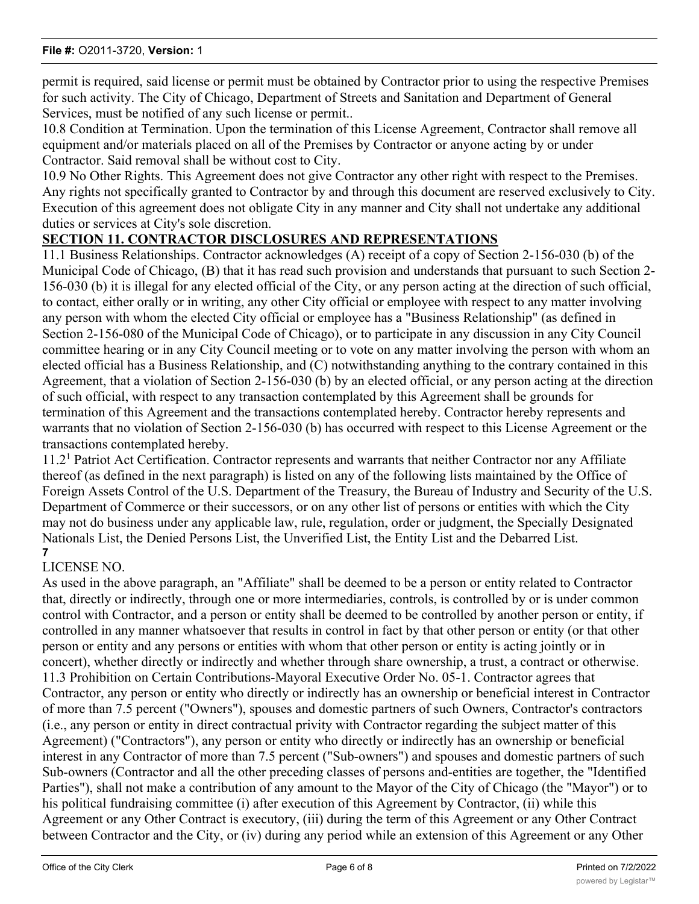permit is required, said license or permit must be obtained by Contractor prior to using the respective Premises for such activity. The City of Chicago, Department of Streets and Sanitation and Department of General Services, must be notified of any such license or permit..

10.8 Condition at Termination. Upon the termination of this License Agreement, Contractor shall remove all equipment and/or materials placed on all of the Premises by Contractor or anyone acting by or under Contractor. Said removal shall be without cost to City.

10.9 No Other Rights. This Agreement does not give Contractor any other right with respect to the Premises. Any rights not specifically granted to Contractor by and through this document are reserved exclusively to City. Execution of this agreement does not obligate City in any manner and City shall not undertake any additional duties or services at City's sole discretion.

### **SECTION 11. CONTRACTOR DISCLOSURES AND REPRESENTATIONS**

11.1 Business Relationships. Contractor acknowledges (A) receipt of a copy of Section 2-156-030 (b) of the Municipal Code of Chicago, (B) that it has read such provision and understands that pursuant to such Section 2- 156-030 (b) it is illegal for any elected official of the City, or any person acting at the direction of such official, to contact, either orally or in writing, any other City official or employee with respect to any matter involving any person with whom the elected City official or employee has a "Business Relationship" (as defined in Section 2-156-080 of the Municipal Code of Chicago), or to participate in any discussion in any City Council committee hearing or in any City Council meeting or to vote on any matter involving the person with whom an elected official has a Business Relationship, and (C) notwithstanding anything to the contrary contained in this Agreement, that a violation of Section 2-156-030 (b) by an elected official, or any person acting at the direction of such official, with respect to any transaction contemplated by this Agreement shall be grounds for termination of this Agreement and the transactions contemplated hereby. Contractor hereby represents and warrants that no violation of Section 2-156-030 (b) has occurred with respect to this License Agreement or the transactions contemplated hereby.

11.2<sup>1</sup> Patriot Act Certification. Contractor represents and warrants that neither Contractor nor any Affiliate thereof (as defined in the next paragraph) is listed on any of the following lists maintained by the Office of Foreign Assets Control of the U.S. Department of the Treasury, the Bureau of Industry and Security of the U.S. Department of Commerce or their successors, or on any other list of persons or entities with which the City may not do business under any applicable law, rule, regulation, order or judgment, the Specially Designated Nationals List, the Denied Persons List, the Unverified List, the Entity List and the Debarred List. **7**

### LICENSE NO.

As used in the above paragraph, an "Affiliate" shall be deemed to be a person or entity related to Contractor that, directly or indirectly, through one or more intermediaries, controls, is controlled by or is under common control with Contractor, and a person or entity shall be deemed to be controlled by another person or entity, if controlled in any manner whatsoever that results in control in fact by that other person or entity (or that other person or entity and any persons or entities with whom that other person or entity is acting jointly or in concert), whether directly or indirectly and whether through share ownership, a trust, a contract or otherwise. 11.3 Prohibition on Certain Contributions-Mayoral Executive Order No. 05-1. Contractor agrees that Contractor, any person or entity who directly or indirectly has an ownership or beneficial interest in Contractor of more than 7.5 percent ("Owners"), spouses and domestic partners of such Owners, Contractor's contractors (i.e., any person or entity in direct contractual privity with Contractor regarding the subject matter of this Agreement) ("Contractors"), any person or entity who directly or indirectly has an ownership or beneficial interest in any Contractor of more than 7.5 percent ("Sub-owners") and spouses and domestic partners of such Sub-owners (Contractor and all the other preceding classes of persons and-entities are together, the "Identified Parties"), shall not make a contribution of any amount to the Mayor of the City of Chicago (the "Mayor") or to his political fundraising committee (i) after execution of this Agreement by Contractor, (ii) while this Agreement or any Other Contract is executory, (iii) during the term of this Agreement or any Other Contract between Contractor and the City, or (iv) during any period while an extension of this Agreement or any Other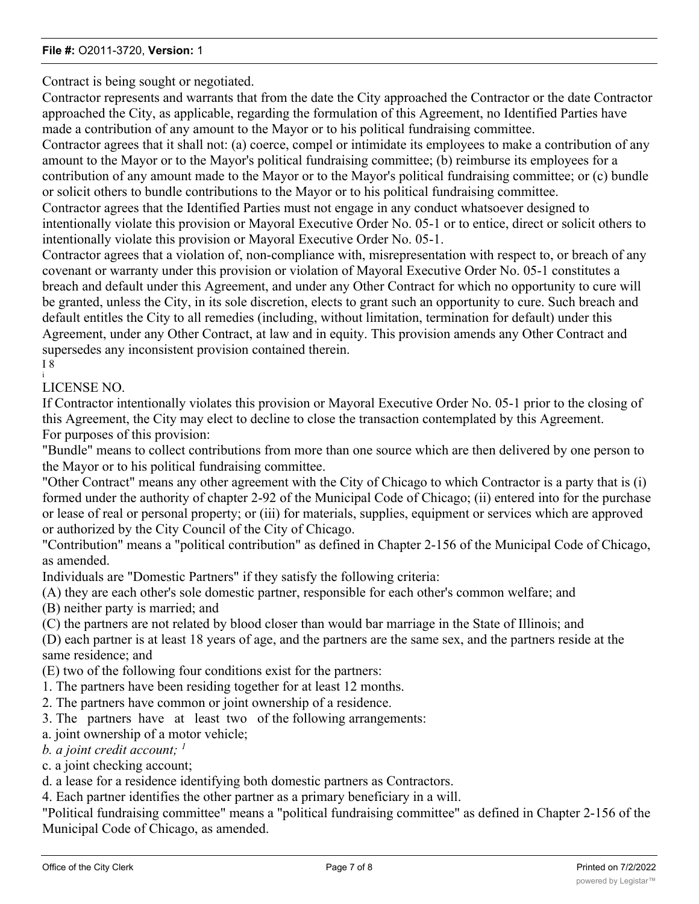#### **File #:** O2011-3720, **Version:** 1

Contract is being sought or negotiated.

Contractor represents and warrants that from the date the City approached the Contractor or the date Contractor approached the City, as applicable, regarding the formulation of this Agreement, no Identified Parties have made a contribution of any amount to the Mayor or to his political fundraising committee.

Contractor agrees that it shall not: (a) coerce, compel or intimidate its employees to make a contribution of any amount to the Mayor or to the Mayor's political fundraising committee; (b) reimburse its employees for a contribution of any amount made to the Mayor or to the Mayor's political fundraising committee; or (c) bundle or solicit others to bundle contributions to the Mayor or to his political fundraising committee.

Contractor agrees that the Identified Parties must not engage in any conduct whatsoever designed to intentionally violate this provision or Mayoral Executive Order No. 05-1 or to entice, direct or solicit others to intentionally violate this provision or Mayoral Executive Order No. 05-1.

Contractor agrees that a violation of, non-compliance with, misrepresentation with respect to, or breach of any covenant or warranty under this provision or violation of Mayoral Executive Order No. 05-1 constitutes a breach and default under this Agreement, and under any Other Contract for which no opportunity to cure will be granted, unless the City, in its sole discretion, elects to grant such an opportunity to cure. Such breach and default entitles the City to all remedies (including, without limitation, termination for default) under this Agreement, under any Other Contract, at law and in equity. This provision amends any Other Contract and supersedes any inconsistent provision contained therein. I 8

i LICENSE NO.

If Contractor intentionally violates this provision or Mayoral Executive Order No. 05-1 prior to the closing of this Agreement, the City may elect to decline to close the transaction contemplated by this Agreement. For purposes of this provision:

"Bundle" means to collect contributions from more than one source which are then delivered by one person to the Mayor or to his political fundraising committee.

"Other Contract" means any other agreement with the City of Chicago to which Contractor is a party that is (i) formed under the authority of chapter 2-92 of the Municipal Code of Chicago; (ii) entered into for the purchase or lease of real or personal property; or (iii) for materials, supplies, equipment or services which are approved or authorized by the City Council of the City of Chicago.

"Contribution" means a "political contribution" as defined in Chapter 2-156 of the Municipal Code of Chicago, as amended.

Individuals are "Domestic Partners" if they satisfy the following criteria:

(A) they are each other's sole domestic partner, responsible for each other's common welfare; and

(B) neither party is married; and

(C) the partners are not related by blood closer than would bar marriage in the State of Illinois; and

(D) each partner is at least 18 years of age, and the partners are the same sex, and the partners reside at the same residence; and

(E) two of the following four conditions exist for the partners:

1. The partners have been residing together for at least 12 months.

2. The partners have common or joint ownership of a residence.

3. The partners have at least two of the following arrangements:

a. joint ownership of a motor vehicle;

*b. a joint credit account; <sup>1</sup>*

c. a joint checking account;

d. a lease for a residence identifying both domestic partners as Contractors.

4. Each partner identifies the other partner as a primary beneficiary in a will.

"Political fundraising committee" means a "political fundraising committee" as defined in Chapter 2-156 of the Municipal Code of Chicago, as amended.